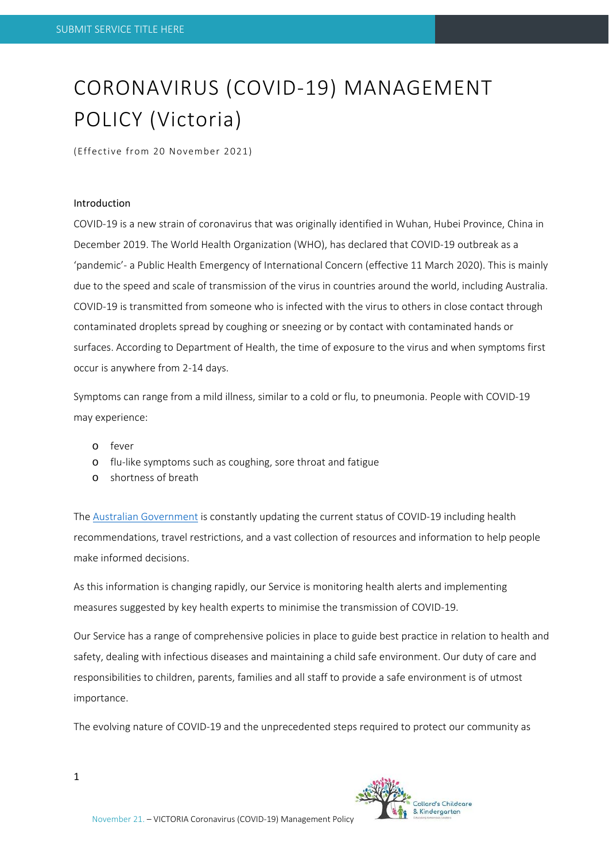# CORONAVIRUS (COVID‐19) MANAGEMENT POLICY (Victoria)

(Effective from 20 November 2021)

#### Introduction

COVID‐19 is a new strain of coronavirus that was originally identified in Wuhan, Hubei Province, China in December 2019. The World Health Organization (WHO), has declared that COVID‐19 outbreak as a 'pandemic'‐ a Public Health Emergency of International Concern (effective 11 March 2020). This is mainly due to the speed and scale of transmission of the virus in countries around the world, including Australia. COVID‐19 is transmitted from someone who is infected with the virus to others in close contact through contaminated droplets spread by coughing or sneezing or by contact with contaminated hands or surfaces. According to Department of Health, the time of exposure to the virus and when symptoms first occur is anywhere from 2‐14 days.

Symptoms can range from a mild illness, similar to a cold or flu, to pneumonia. People with COVID‐19 may experience:

- o fever
- o flu‐like symptoms such as coughing, sore throat and fatigue
- o shortness of breath

The Australian Government is constantly updating the current status of COVID‐19 including health recommendations, travel restrictions, and a vast collection of resources and information to help people make informed decisions.

As this information is changing rapidly, our Service is monitoring health alerts and implementing measures suggested by key health experts to minimise the transmission of COVID‐19.

Our Service has a range of comprehensive policies in place to guide best practice in relation to health and safety, dealing with infectious diseases and maintaining a child safe environment. Our duty of care and responsibilities to children, parents, families and all staff to provide a safe environment is of utmost importance.

The evolving nature of COVID‐19 and the unprecedented steps required to protect our community as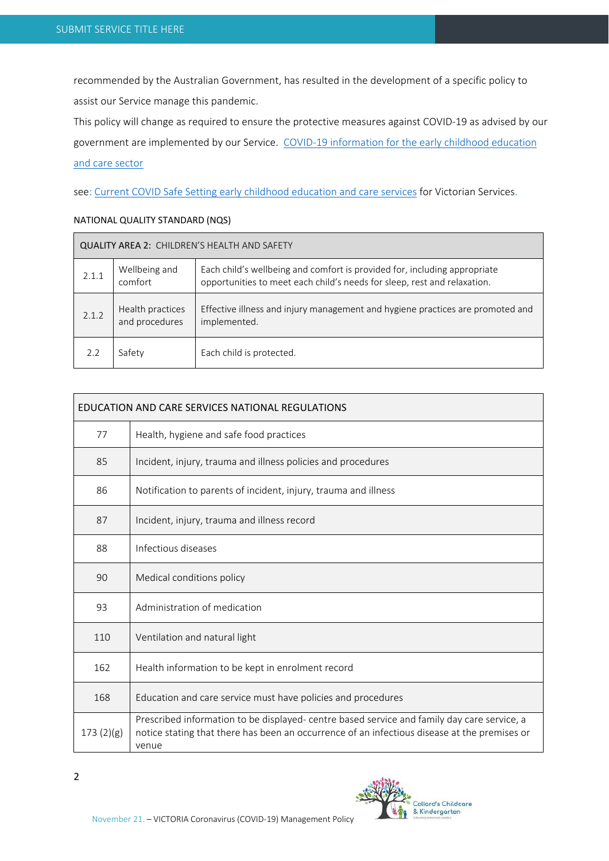recommended by the Australian Government, has resulted in the development of a specific policy to assist our Service manage this pandemic.

This policy will change as required to ensure the protective measures against COVID‐19 as advised by our government are implemented by our Service. COVID-19 information for the early childhood education and care sector

see: Current COVID Safe Setting early childhood education and care services for Victorian Services.

#### NATIONAL QUALITY STANDARD (NQS)

| QUALITY AREA 2: CHILDREN'S HEALTH AND SAFETY |                                    |                                                                                                                                                       |  |  |
|----------------------------------------------|------------------------------------|-------------------------------------------------------------------------------------------------------------------------------------------------------|--|--|
| 2.1.1                                        | Wellbeing and<br>comfort           | Each child's wellbeing and comfort is provided for, including appropriate<br>opportunities to meet each child's needs for sleep, rest and relaxation. |  |  |
| 2.1.2                                        | Health practices<br>and procedures | Effective illness and injury management and hygiene practices are promoted and<br>implemented.                                                        |  |  |
| 2.2                                          | Safety                             | Each child is protected.                                                                                                                              |  |  |

| EDUCATION AND CARE SERVICES NATIONAL REGULATIONS |                                                                                                                                                                                                      |  |
|--------------------------------------------------|------------------------------------------------------------------------------------------------------------------------------------------------------------------------------------------------------|--|
| 77                                               | Health, hygiene and safe food practices                                                                                                                                                              |  |
| 85                                               | Incident, injury, trauma and illness policies and procedures                                                                                                                                         |  |
| 86                                               | Notification to parents of incident, injury, trauma and illness                                                                                                                                      |  |
| 87                                               | Incident, injury, trauma and illness record                                                                                                                                                          |  |
| 88                                               | Infectious diseases                                                                                                                                                                                  |  |
| 90                                               | Medical conditions policy                                                                                                                                                                            |  |
| 93                                               | Administration of medication                                                                                                                                                                         |  |
| 110                                              | Ventilation and natural light                                                                                                                                                                        |  |
| 162                                              | Health information to be kept in enrolment record                                                                                                                                                    |  |
| 168                                              | Education and care service must have policies and procedures                                                                                                                                         |  |
| 173(2)(g)                                        | Prescribed information to be displayed- centre based service and family day care service, a<br>notice stating that there has been an occurrence of an infectious disease at the premises or<br>venue |  |

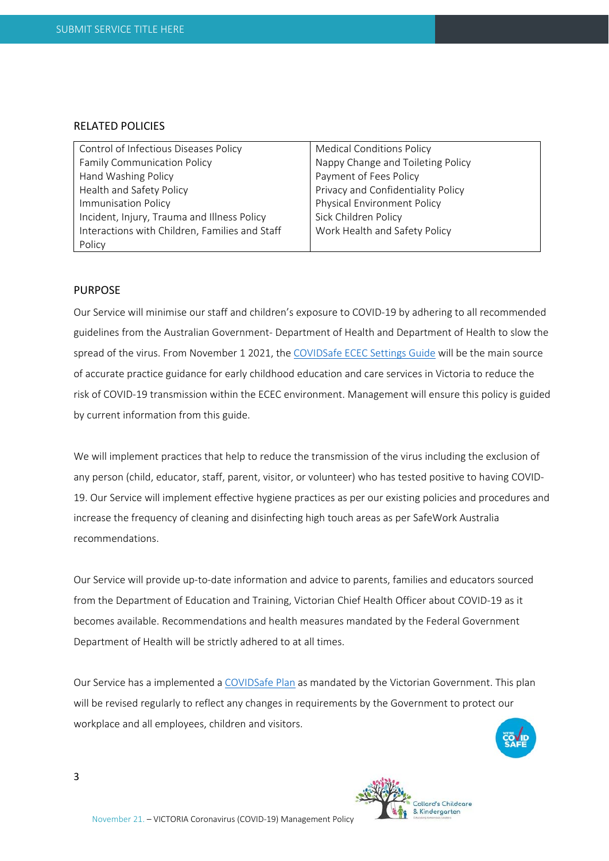# RELATED POLICIES

| Control of Infectious Diseases Policy          | <b>Medical Conditions Policy</b>   |  |
|------------------------------------------------|------------------------------------|--|
| <b>Family Communication Policy</b>             | Nappy Change and Toileting Policy  |  |
| Hand Washing Policy                            | Payment of Fees Policy             |  |
| Health and Safety Policy                       | Privacy and Confidentiality Policy |  |
| <b>Immunisation Policy</b>                     | Physical Environment Policy        |  |
| Incident, Injury, Trauma and Illness Policy    | Sick Children Policy               |  |
| Interactions with Children, Families and Staff | Work Health and Safety Policy      |  |
| Policy                                         |                                    |  |

# PURPOSE

Our Service will minimise our staff and children's exposure to COVID‐19 by adhering to all recommended guidelines from the Australian Government‐ Department of Health and Department of Health to slow the spread of the virus. From November 1 2021, the COVIDSafe ECEC Settings Guide will be the main source of accurate practice guidance for early childhood education and care services in Victoria to reduce the risk of COVID‐19 transmission within the ECEC environment. Management will ensure this policy is guided by current information from this guide.

We will implement practices that help to reduce the transmission of the virus including the exclusion of any person (child, educator, staff, parent, visitor, or volunteer) who has tested positive to having COVID‐ 19. Our Service will implement effective hygiene practices as per our existing policies and procedures and increase the frequency of cleaning and disinfecting high touch areas as per SafeWork Australia recommendations.

Our Service will provide up‐to‐date information and advice to parents, families and educators sourced from the Department of Education and Training, Victorian Chief Health Officer about COVID‐19 as it becomes available. Recommendations and health measures mandated by the Federal Government Department of Health will be strictly adhered to at all times.

Our Service has a implemented a COVIDSafe Plan as mandated by the Victorian Government. This plan will be revised regularly to reflect any changes in requirements by the Government to protect our workplace and all employees, children and visitors.

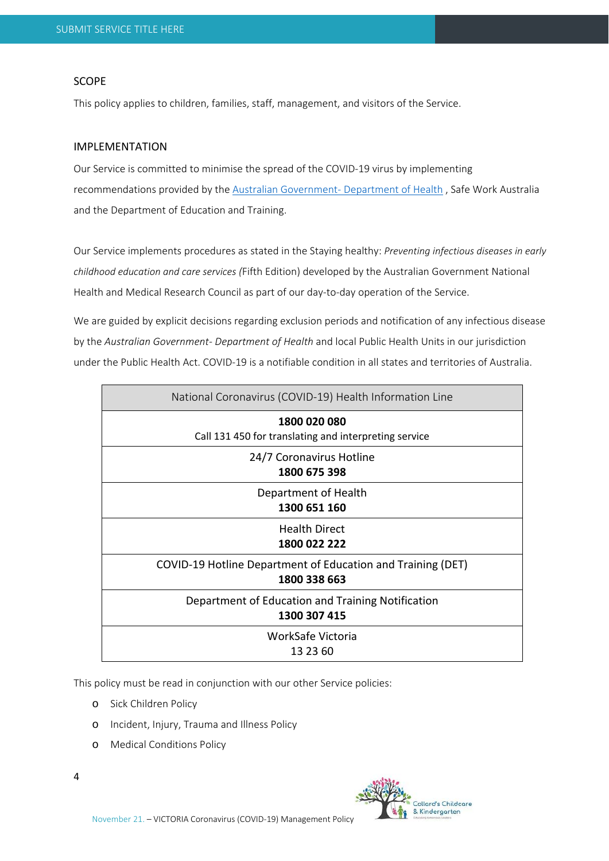#### SCOPE

This policy applies to children, families, staff, management, and visitors of the Service.

### IMPLEMENTATION

Our Service is committed to minimise the spread of the COVID‐19 virus by implementing recommendations provided by the Australian Government‐ Department of Health , Safe Work Australia and the Department of Education and Training.

Our Service implements procedures as stated in the Staying healthy: *Preventing infectious diseases in early childhood education and care services (*Fifth Edition) developed by the Australian Government National Health and Medical Research Council as part of our day-to-day operation of the Service.

We are guided by explicit decisions regarding exclusion periods and notification of any infectious disease by the *Australian Government‐ Department of Health* and local Public Health Units in our jurisdiction under the Public Health Act. COVID‐19 is a notifiable condition in all states and territories of Australia.

| National Coronavirus (COVID-19) Health Information Line                     |
|-----------------------------------------------------------------------------|
| 1800 020 080<br>Call 131 450 for translating and interpreting service       |
| 24/7 Coronavirus Hotline<br>1800 675 398                                    |
| Department of Health<br>1300 651 160                                        |
| <b>Health Direct</b><br>1800 022 222                                        |
| COVID-19 Hotline Department of Education and Training (DET)<br>1800 338 663 |
| Department of Education and Training Notification<br>1300 307 415           |
| WorkSafe Victoria<br>13 23 60                                               |

This policy must be read in conjunction with our other Service policies:

- o Sick Children Policy
- o Incident, Injury, Trauma and Illness Policy
- o Medical Conditions Policy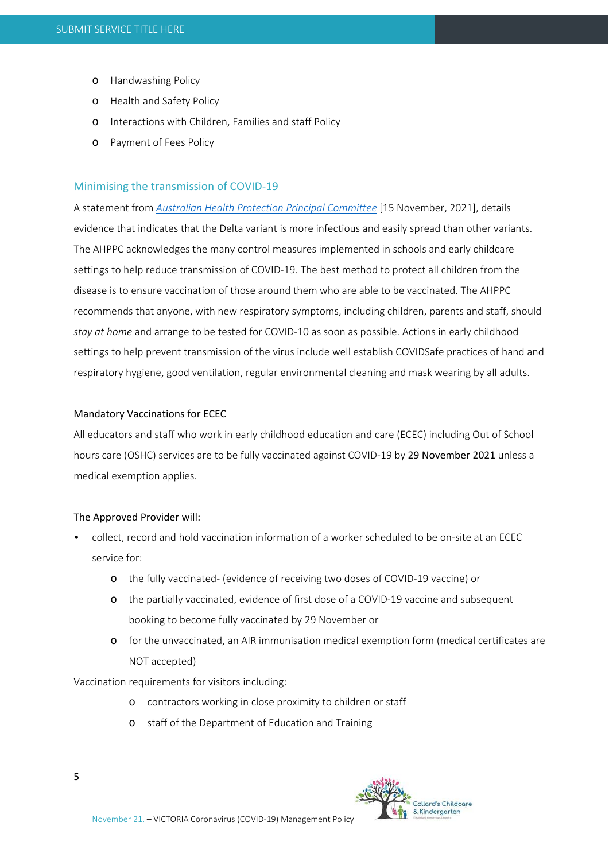- o Handwashing Policy
- o Health and Safety Policy
- o Interactions with Children, Families and staff Policy
- o Payment of Fees Policy

#### Minimising the transmission of COVID‐19

A statement from *Australian Health Protection Principal Committee* [15 November, 2021], details evidence that indicates that the Delta variant is more infectious and easily spread than other variants. The AHPPC acknowledges the many control measures implemented in schools and early childcare settings to help reduce transmission of COVID‐19. The best method to protect all children from the disease is to ensure vaccination of those around them who are able to be vaccinated. The AHPPC recommends that anyone, with new respiratory symptoms, including children, parents and staff, should *stay at home* and arrange to be tested for COVID‐10 as soon as possible. Actions in early childhood settings to help prevent transmission of the virus include well establish COVIDSafe practices of hand and respiratory hygiene, good ventilation, regular environmental cleaning and mask wearing by all adults.

#### Mandatory Vaccinations for ECEC

All educators and staff who work in early childhood education and care (ECEC) including Out of School hours care (OSHC) services are to be fully vaccinated against COVID-19 by 29 November 2021 unless a medical exemption applies.

#### The Approved Provider will:

- collect, record and hold vaccination information of a worker scheduled to be on-site at an ECEC service for:
	- o the fully vaccinated‐ (evidence of receiving two doses of COVID‐19 vaccine) or
	- o the partially vaccinated, evidence of first dose of a COVID‐19 vaccine and subsequent booking to become fully vaccinated by 29 November or
	- o for the unvaccinated, an AIR immunisation medical exemption form (medical certificates are NOT accepted)

Vaccination requirements for visitors including:

- o contractors working in close proximity to children or staff
- o staff of the Department of Education and Training

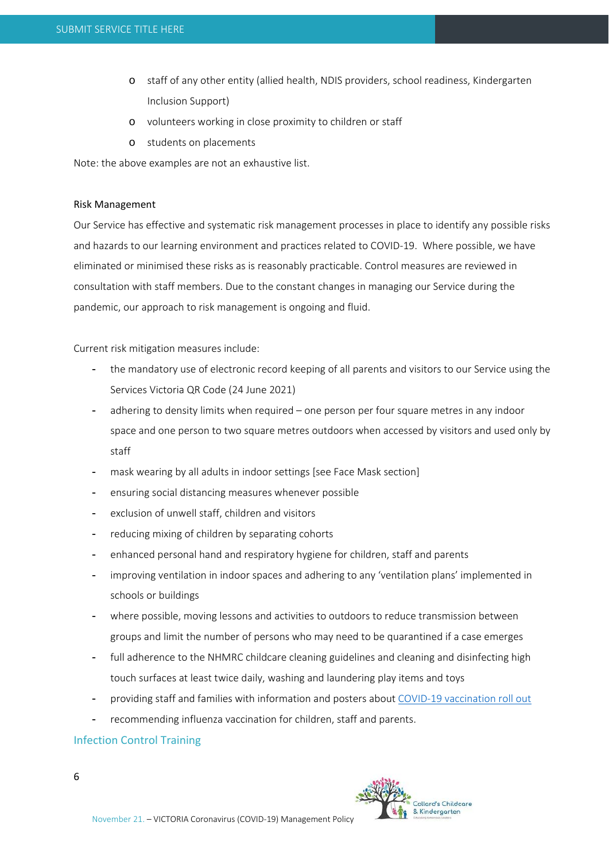- o staff of any other entity (allied health, NDIS providers, school readiness, Kindergarten Inclusion Support)
- o volunteers working in close proximity to children or staff
- o students on placements

Note: the above examples are not an exhaustive list.

#### Risk Management

Our Service has effective and systematic risk management processes in place to identify any possible risks and hazards to our learning environment and practices related to COVID-19. Where possible, we have eliminated or minimised these risks as is reasonably practicable. Control measures are reviewed in consultation with staff members. Due to the constant changes in managing our Service during the pandemic, our approach to risk management is ongoing and fluid.

Current risk mitigation measures include:

- the mandatory use of electronic record keeping of all parents and visitors to our Service using the Services Victoria QR Code (24 June 2021)
- adhering to density limits when required one person per four square metres in any indoor space and one person to two square metres outdoors when accessed by visitors and used only by staff
- mask wearing by all adults in indoor settings [see Face Mask section]
- ensuring social distancing measures whenever possible
- exclusion of unwell staff, children and visitors
- reducing mixing of children by separating cohorts
- enhanced personal hand and respiratory hygiene for children, staff and parents
- improving ventilation in indoor spaces and adhering to any 'ventilation plans' implemented in schools or buildings
- where possible, moving lessons and activities to outdoors to reduce transmission between groups and limit the number of persons who may need to be quarantined if a case emerges
- full adherence to the NHMRC childcare cleaning guidelines and cleaning and disinfecting high touch surfaces at least twice daily, washing and laundering play items and toys
- providing staff and families with information and posters about COVID‐19 vaccination roll out
- recommending influenza vaccination for children, staff and parents.

# Infection Control Training

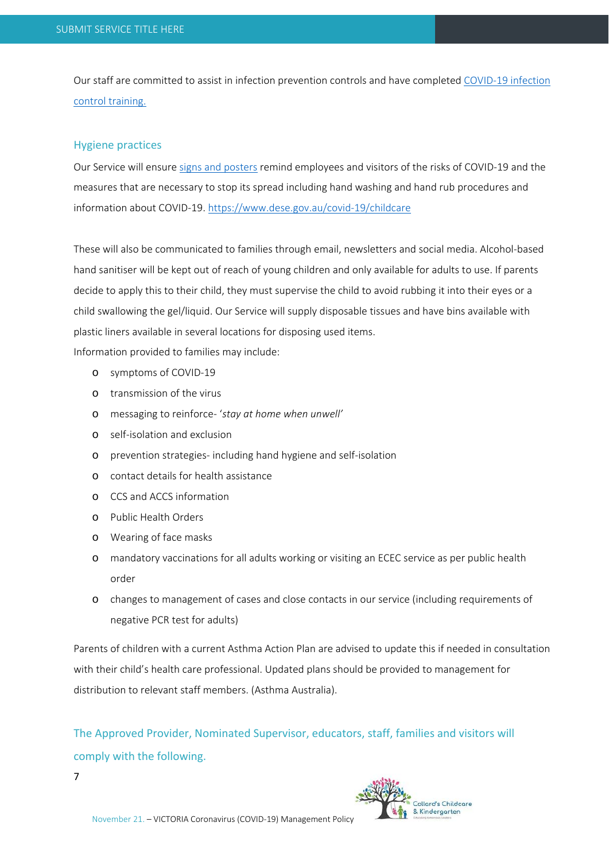Our staff are committed to assist in infection prevention controls and have completed COVID‐19 infection control training.

#### Hygiene practices

Our Service will ensure signs and posters remind employees and visitors of the risks of COVID‐19 and the measures that are necessary to stop its spread including hand washing and hand rub procedures and information about COVID‐19. https://www.dese.gov.au/covid‐19/childcare

These will also be communicated to families through email, newsletters and social media. Alcohol‐based hand sanitiser will be kept out of reach of young children and only available for adults to use. If parents decide to apply this to their child, they must supervise the child to avoid rubbing it into their eyes or a child swallowing the gel/liquid. Our Service will supply disposable tissues and have bins available with plastic liners available in several locations for disposing used items.

Information provided to families may include:

- o symptoms of COVID‐19
- o transmission of the virus
- o messaging to reinforce‐ '*stay at home when unwell'*
- o self‐isolation and exclusion
- o prevention strategies‐ including hand hygiene and self‐isolation
- o contact details for health assistance
- o CCS and ACCS information
- o Public Health Orders
- o Wearing of face masks
- o mandatory vaccinations for all adults working or visiting an ECEC service as per public health order
- o changes to management of cases and close contacts in our service (including requirements of negative PCR test for adults)

Parents of children with a current Asthma Action Plan are advised to update this if needed in consultation with their child's health care professional. Updated plans should be provided to management for distribution to relevant staff members. (Asthma Australia).

The Approved Provider, Nominated Supervisor, educators, staff, families and visitors will comply with the following.

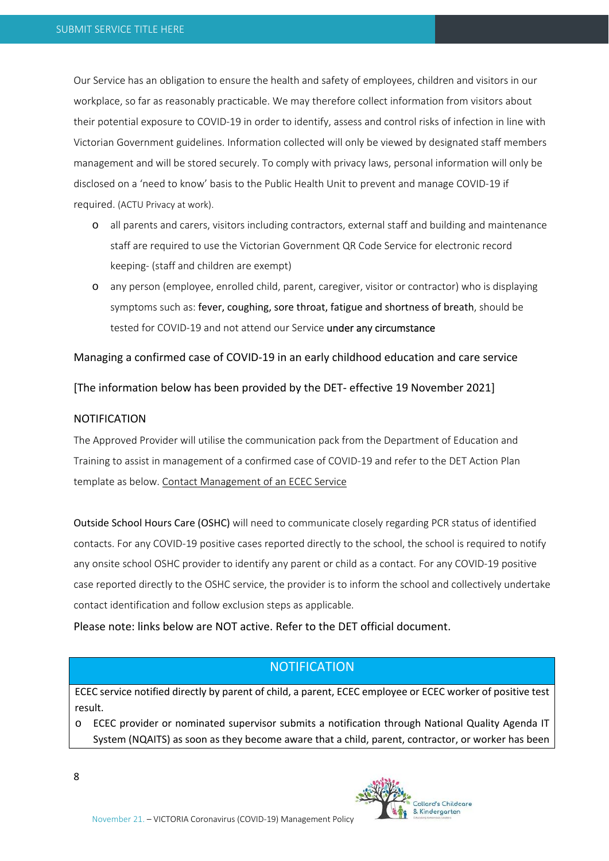Our Service has an obligation to ensure the health and safety of employees, children and visitors in our workplace, so far as reasonably practicable. We may therefore collect information from visitors about their potential exposure to COVID‐19 in order to identify, assess and control risks of infection in line with Victorian Government guidelines. Information collected will only be viewed by designated staff members management and will be stored securely. To comply with privacy laws, personal information will only be disclosed on a 'need to know' basis to the Public Health Unit to prevent and manage COVID‐19 if required. (ACTU Privacy at work).

- o all parents and carers, visitors including contractors, external staff and building and maintenance staff are required to use the Victorian Government QR Code Service for electronic record keeping‐ (staff and children are exempt)
- o any person (employee, enrolled child, parent, caregiver, visitor or contractor) who is displaying symptoms such as: fever, coughing, sore throat, fatigue and shortness of breath, should be tested for COVID-19 and not attend our Service under any circumstance

#### Managing a confirmed case of COVID‐19 in an early childhood education and care service

[The information below has been provided by the DET‐ effective 19 November 2021]

#### NOTIFICATION

The Approved Provider will utilise the communication pack from the Department of Education and Training to assist in management of a confirmed case of COVID‐19 and refer to the DET Action Plan template as below. Contact Management of an ECEC Service

Outside School Hours Care (OSHC) will need to communicate closely regarding PCR status of identified contacts. For any COVID‐19 positive cases reported directly to the school, the school is required to notify any onsite school OSHC provider to identify any parent or child as a contact. For any COVID‐19 positive case reported directly to the OSHC service, the provider is to inform the school and collectively undertake contact identification and follow exclusion steps as applicable.

Please note: links below are NOT active. Refer to the DET official document.

# **NOTIFICATION**

ECEC service notified directly by parent of child, a parent, ECEC employee or ECEC worker of positive test result.

o ECEC provider or nominated supervisor submits a notification through National Quality Agenda IT System (NQAITS) as soon as they become aware that a child, parent, contractor, or worker has been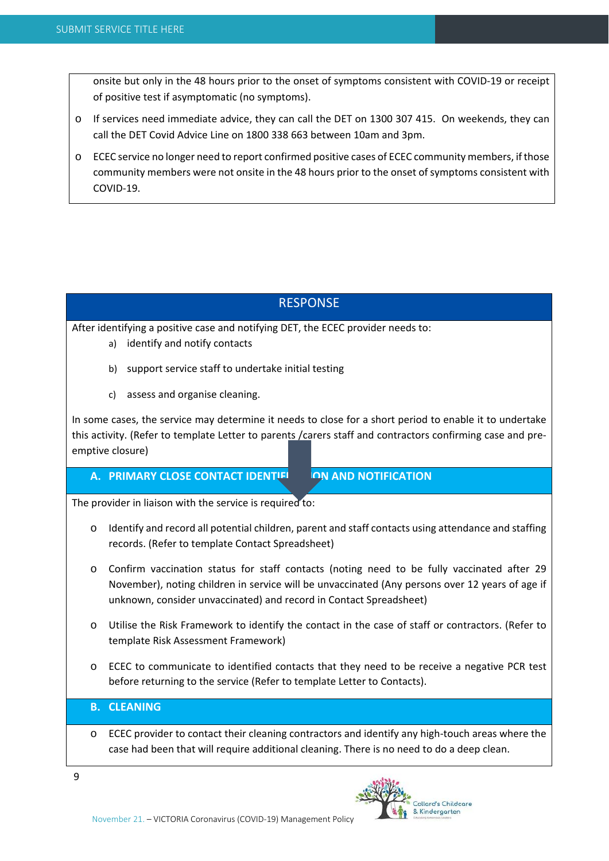onsite but only in the 48 hours prior to the onset of symptoms consistent with COVID‐19 or receipt of positive test if asymptomatic (no symptoms).

- o If services need immediate advice, they can call the DET on 1300 307 415. On weekends, they can call the DET Covid Advice Line on 1800 338 663 between 10am and 3pm.
- o ECEC service no longer need to report confirmed positive cases of ECEC community members, if those community members were not onsite in the 48 hours prior to the onset of symptoms consistent with COVID‐19.

# **RESPONSE**

After identifying a positive case and notifying DET, the ECEC provider needs to:

- a) identify and notify contacts
- b) support service staff to undertake initial testing
- c) assess and organise cleaning.

In some cases, the service may determine it needs to close for a short period to enable it to undertake this activity. (Refer to template Letter to parents /carers staff and contractors confirming case and pre‐ emptive closure)

**A. PRIMARY CLOSE CONTACT IDENTIFICATION AND NOTIFICATION**

The provider in liaison with the service is required to:

- o Identify and record all potential children, parent and staff contacts using attendance and staffing records. (Refer to template Contact Spreadsheet)
- o Confirm vaccination status for staff contacts (noting need to be fully vaccinated after 29 November), noting children in service will be unvaccinated (Any persons over 12 years of age if unknown, consider unvaccinated) and record in Contact Spreadsheet)
- o Utilise the Risk Framework to identify the contact in the case of staff or contractors. (Refer to template Risk Assessment Framework)
- o ECEC to communicate to identified contacts that they need to be receive a negative PCR test before returning to the service (Refer to template Letter to Contacts).

# **B. CLEANING**

o ECEC provider to contact their cleaning contractors and identify any high‐touch areas where the case had been that will require additional cleaning. There is no need to do a deep clean.

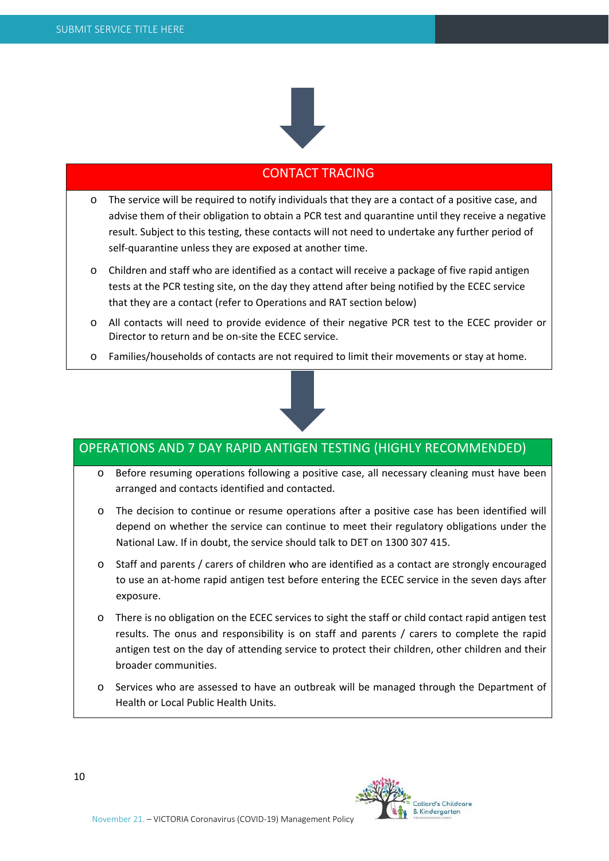

# CONTACT TRACING

- o The service will be required to notify individuals that they are a contact of a positive case, and advise them of their obligation to obtain a PCR test and quarantine until they receive a negative result. Subject to this testing, these contacts will not need to undertake any further period of self-quarantine unless they are exposed at another time.
- o Children and staff who are identified as a contact will receive a package of five rapid antigen tests at the PCR testing site, on the day they attend after being notified by the ECEC service that they are a contact (refer to Operations and RAT section below)
- o All contacts will need to provide evidence of their negative PCR test to the ECEC provider or Director to return and be on‐site the ECEC service.
- o Families/households of contacts are not required to limit their movements or stay at home.



# OPERATIONS AND 7 DAY RAPID ANTIGEN TESTING (HIGHLY RECOMMENDED)

- o Before resuming operations following a positive case, all necessary cleaning must have been arranged and contacts identified and contacted.
- o The decision to continue or resume operations after a positive case has been identified will depend on whether the service can continue to meet their regulatory obligations under the National Law. If in doubt, the service should talk to DET on 1300 307 415.
- o Staff and parents / carers of children who are identified as a contact are strongly encouraged to use an at-home rapid antigen test before entering the ECEC service in the seven days after exposure.
- o There is no obligation on the ECEC services to sight the staff or child contact rapid antigen test results. The onus and responsibility is on staff and parents / carers to complete the rapid antigen test on the day of attending service to protect their children, other children and their broader communities.
- o Services who are assessed to have an outbreak will be managed through the Department of Health or Local Public Health Units.

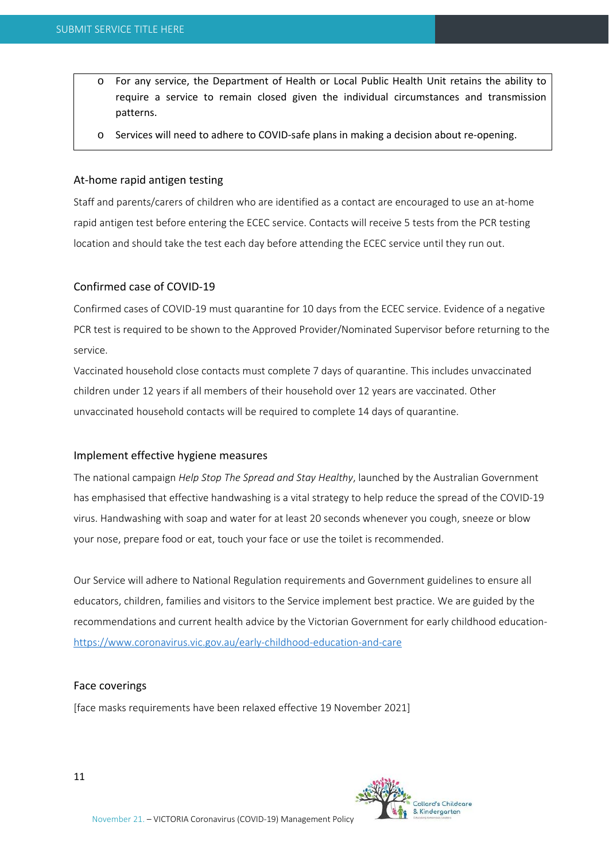- o For any service, the Department of Health or Local Public Health Unit retains the ability to require a service to remain closed given the individual circumstances and transmission patterns.
- o Services will need to adhere to COVID‐safe plans in making a decision about re‐opening.

# At‐home rapid antigen testing

Staff and parents/carers of children who are identified as a contact are encouraged to use an at‐home rapid antigen test before entering the ECEC service. Contacts will receive 5 tests from the PCR testing location and should take the test each day before attending the ECEC service until they run out.

# Confirmed case of COVID‐19

Confirmed cases of COVID‐19 must quarantine for 10 days from the ECEC service. Evidence of a negative PCR test is required to be shown to the Approved Provider/Nominated Supervisor before returning to the service.

Vaccinated household close contacts must complete 7 days of quarantine. This includes unvaccinated children under 12 years if all members of their household over 12 years are vaccinated. Other unvaccinated household contacts will be required to complete 14 days of quarantine.

# Implement effective hygiene measures

The national campaign *Help Stop The Spread and Stay Healthy*, launched by the Australian Government has emphasised that effective handwashing is a vital strategy to help reduce the spread of the COVID-19 virus. Handwashing with soap and water for at least 20 seconds whenever you cough, sneeze or blow your nose, prepare food or eat, touch your face or use the toilet is recommended.

Our Service will adhere to National Regulation requirements and Government guidelines to ensure all educators, children, families and visitors to the Service implement best practice. We are guided by the recommendations and current health advice by the Victorian Government for early childhood education‐ https://www.coronavirus.vic.gov.au/early‐childhood‐education‐and‐care

#### Face coverings

[face masks requirements have been relaxed effective 19 November 2021]

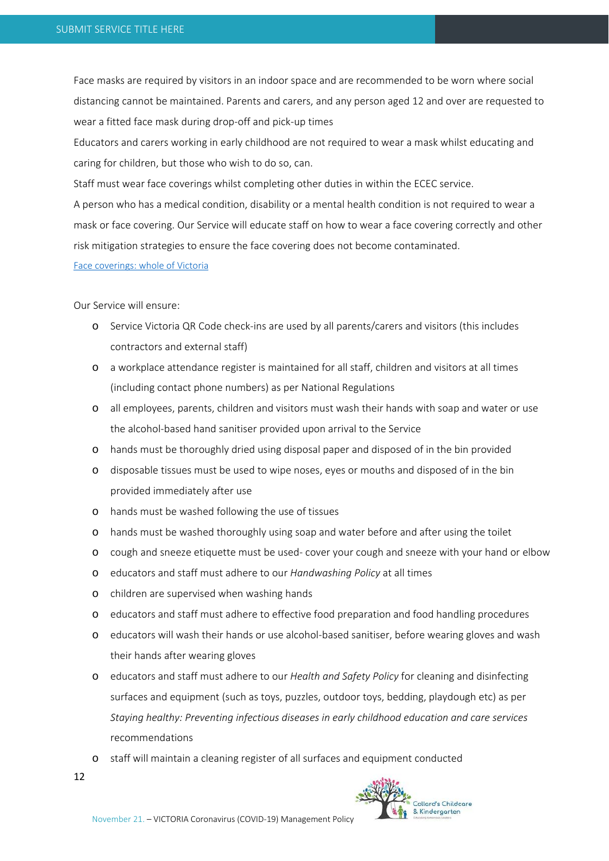Face masks are required by visitors in an indoor space and are recommended to be worn where social distancing cannot be maintained. Parents and carers, and any person aged 12 and over are requested to wear a fitted face mask during drop‐off and pick‐up times

Educators and carers working in early childhood are not required to wear a mask whilst educating and caring for children, but those who wish to do so, can.

Staff must wear face coverings whilst completing other duties in within the ECEC service.

A person who has a medical condition, disability or a mental health condition is not required to wear a mask or face covering. Our Service will educate staff on how to wear a face covering correctly and other risk mitigation strategies to ensure the face covering does not become contaminated.

#### Face coverings: whole of Victoria

Our Service will ensure:

- o Service Victoria QR Code check‐ins are used by all parents/carers and visitors (this includes contractors and external staff)
- o a workplace attendance register is maintained for all staff, children and visitors at all times (including contact phone numbers) as per National Regulations
- o all employees, parents, children and visitors must wash their hands with soap and water or use the alcohol‐based hand sanitiser provided upon arrival to the Service
- o hands must be thoroughly dried using disposal paper and disposed of in the bin provided
- o disposable tissues must be used to wipe noses, eyes or mouths and disposed of in the bin provided immediately after use
- o hands must be washed following the use of tissues
- o hands must be washed thoroughly using soap and water before and after using the toilet
- o cough and sneeze etiquette must be used‐ cover your cough and sneeze with your hand or elbow
- o educators and staff must adhere to our *Handwashing Policy* at all times
- o children are supervised when washing hands
- o educators and staff must adhere to effective food preparation and food handling procedures
- o educators will wash their hands or use alcohol‐based sanitiser, before wearing gloves and wash their hands after wearing gloves
- o educators and staff must adhere to our *Health and Safety Policy* for cleaning and disinfecting surfaces and equipment (such as toys, puzzles, outdoor toys, bedding, playdough etc) as per *Staying healthy: Preventing infectious diseases in early childhood education and care services* recommendations
- o staff will maintain a cleaning register of all surfaces and equipment conducted
- 12

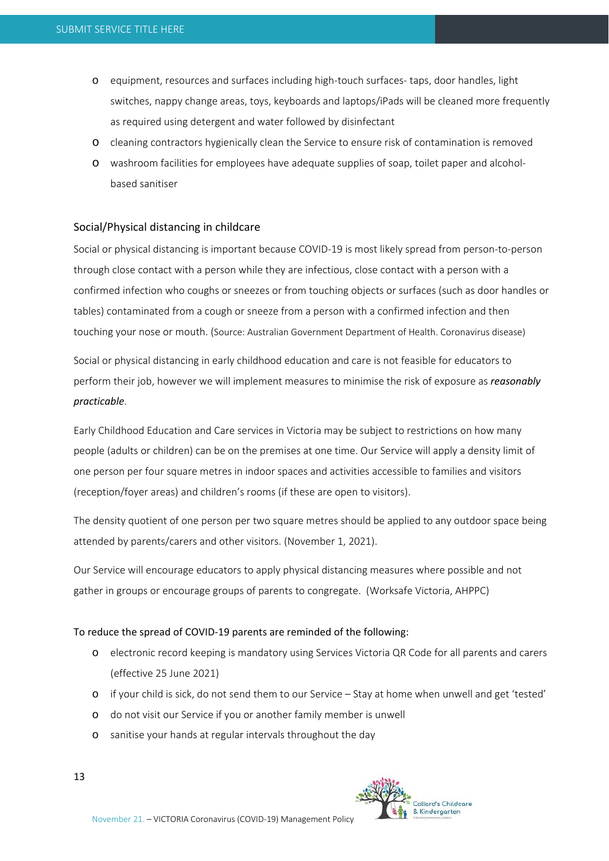- o equipment, resources and surfaces including high‐touch surfaces‐ taps, door handles, light switches, nappy change areas, toys, keyboards and laptops/iPads will be cleaned more frequently as required using detergent and water followed by disinfectant
- o cleaning contractors hygienically clean the Service to ensure risk of contamination is removed
- o washroom facilities for employees have adequate supplies of soap, toilet paper and alcohol‐ based sanitiser

#### Social/Physical distancing in childcare

Social or physical distancing is important because COVID‐19 is most likely spread from person‐to‐person through close contact with a person while they are infectious, close contact with a person with a confirmed infection who coughs or sneezes or from touching objects or surfaces (such as door handles or tables) contaminated from a cough or sneeze from a person with a confirmed infection and then touching your nose or mouth. (Source: Australian Government Department of Health. Coronavirus disease)

Social or physical distancing in early childhood education and care is not feasible for educators to perform their job, however we will implement measures to minimise the risk of exposure as *reasonably practicable*.

Early Childhood Education and Care services in Victoria may be subject to restrictions on how many people (adults or children) can be on the premises at one time. Our Service will apply a density limit of one person per four square metres in indoor spaces and activities accessible to families and visitors (reception/foyer areas) and children's rooms (if these are open to visitors).

The density quotient of one person per two square metres should be applied to any outdoor space being attended by parents/carers and other visitors. (November 1, 2021).

Our Service will encourage educators to apply physical distancing measures where possible and not gather in groups or encourage groups of parents to congregate. (Worksafe Victoria, AHPPC)

#### To reduce the spread of COVID‐19 parents are reminded of the following:

- o electronic record keeping is mandatory using Services Victoria QR Code for all parents and carers (effective 25 June 2021)
- o if your child is sick, do not send them to our Service Stay at home when unwell and get 'tested'
- o do not visit our Service if you or another family member is unwell
- o sanitise your hands at regular intervals throughout the day

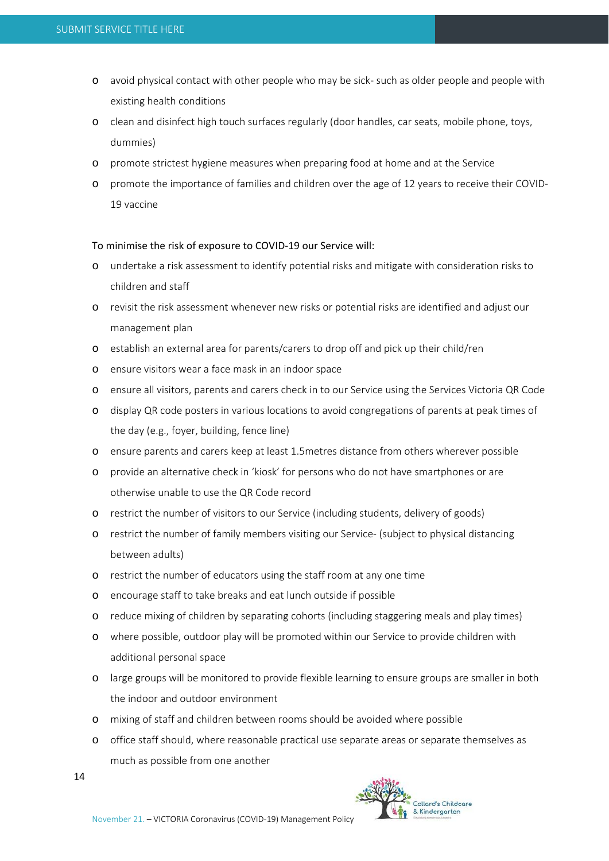- o avoid physical contact with other people who may be sick‐ such as older people and people with existing health conditions
- o clean and disinfect high touch surfaces regularly (door handles, car seats, mobile phone, toys, dummies)
- o promote strictest hygiene measures when preparing food at home and at the Service
- o promote the importance of families and children over the age of 12 years to receive their COVID‐ 19 vaccine

#### To minimise the risk of exposure to COVID‐19 our Service will:

- o undertake a risk assessment to identify potential risks and mitigate with consideration risks to children and staff
- o revisit the risk assessment whenever new risks or potential risks are identified and adjust our management plan
- o establish an external area for parents/carers to drop off and pick up their child/ren
- o ensure visitors wear a face mask in an indoor space
- o ensure all visitors, parents and carers check in to our Service using the Services Victoria QR Code
- o display QR code posters in various locations to avoid congregations of parents at peak times of the day (e.g., foyer, building, fence line)
- o ensure parents and carers keep at least 1.5metres distance from others wherever possible
- o provide an alternative check in 'kiosk' for persons who do not have smartphones or are otherwise unable to use the QR Code record
- o restrict the number of visitors to our Service (including students, delivery of goods)
- o restrict the number of family members visiting our Service‐ (subject to physical distancing between adults)
- o restrict the number of educators using the staff room at any one time
- o encourage staff to take breaks and eat lunch outside if possible
- o reduce mixing of children by separating cohorts (including staggering meals and play times)
- o where possible, outdoor play will be promoted within our Service to provide children with additional personal space
- o large groups will be monitored to provide flexible learning to ensure groups are smaller in both the indoor and outdoor environment
- o mixing of staff and children between rooms should be avoided where possible
- o office staff should, where reasonable practical use separate areas or separate themselves as much as possible from one another

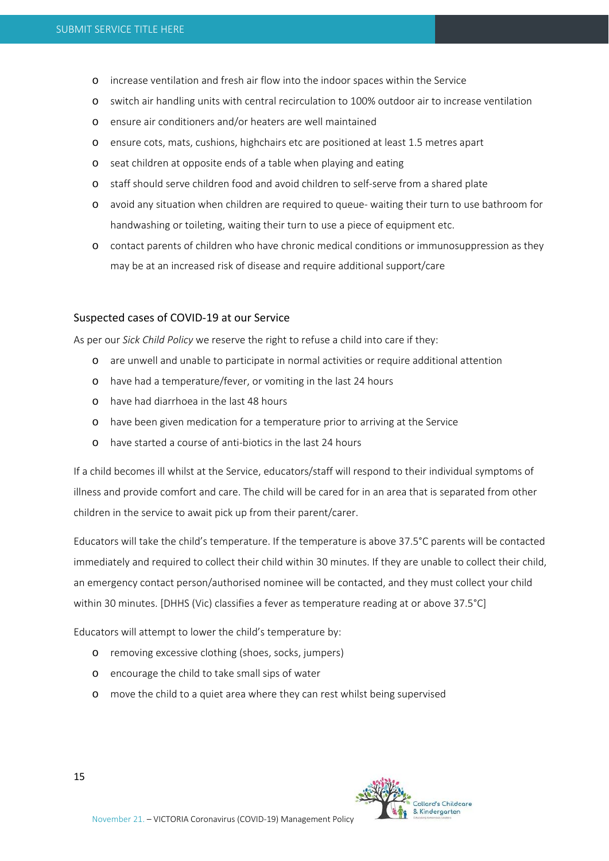- o increase ventilation and fresh air flow into the indoor spaces within the Service
- o switch air handling units with central recirculation to 100% outdoor air to increase ventilation
- o ensure air conditioners and/or heaters are well maintained
- o ensure cots, mats, cushions, highchairs etc are positioned at least 1.5 metres apart
- o seat children at opposite ends of a table when playing and eating
- o staff should serve children food and avoid children to self‐serve from a shared plate
- o avoid any situation when children are required to queue‐ waiting their turn to use bathroom for handwashing or toileting, waiting their turn to use a piece of equipment etc.
- o contact parents of children who have chronic medical conditions or immunosuppression as they may be at an increased risk of disease and require additional support/care

#### Suspected cases of COVID‐19 at our Service

As per our *Sick Child Policy* we reserve the right to refuse a child into care if they:

- o are unwell and unable to participate in normal activities or require additional attention
- o have had a temperature/fever, or vomiting in the last 24 hours
- o have had diarrhoea in the last 48 hours
- o have been given medication for a temperature prior to arriving at the Service
- o have started a course of anti‐biotics in the last 24 hours

If a child becomes ill whilst at the Service, educators/staff will respond to their individual symptoms of illness and provide comfort and care. The child will be cared for in an area that is separated from other children in the service to await pick up from their parent/carer.

Educators will take the child's temperature. If the temperature is above 37.5°C parents will be contacted immediately and required to collect their child within 30 minutes. If they are unable to collect their child, an emergency contact person/authorised nominee will be contacted, and they must collect your child within 30 minutes. [DHHS (Vic) classifies a fever as temperature reading at or above 37.5°C]

Educators will attempt to lower the child's temperature by:

- o removing excessive clothing (shoes, socks, jumpers)
- o encourage the child to take small sips of water
- o move the child to a quiet area where they can rest whilst being supervised

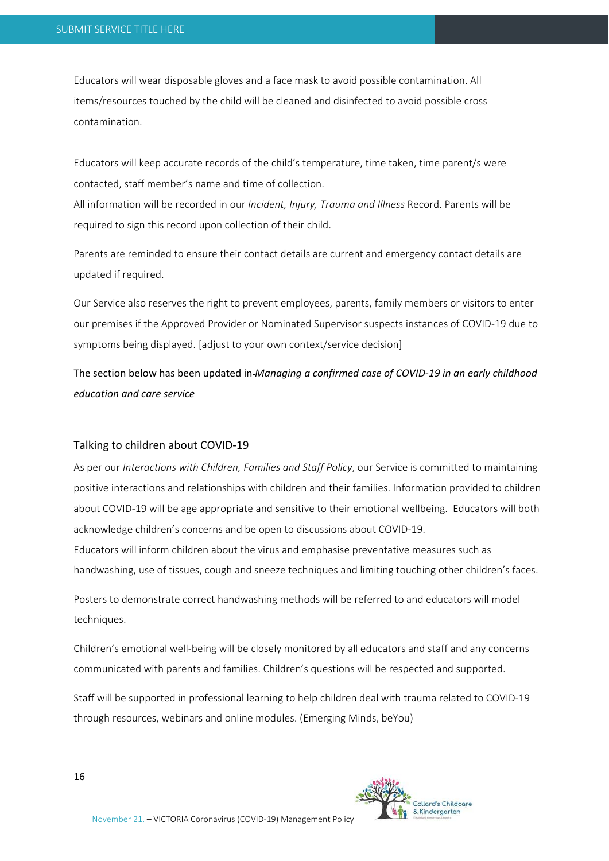Educators will wear disposable gloves and a face mask to avoid possible contamination. All items/resources touched by the child will be cleaned and disinfected to avoid possible cross contamination.

Educators will keep accurate records of the child's temperature, time taken, time parent/s were contacted, staff member's name and time of collection.

All information will be recorded in our *Incident, Injury, Trauma and Illness* Record. Parents will be required to sign this record upon collection of their child.

Parents are reminded to ensure their contact details are current and emergency contact details are updated if required.

Our Service also reserves the right to prevent employees, parents, family members or visitors to enter our premises if the Approved Provider or Nominated Supervisor suspects instances of COVID‐19 due to symptoms being displayed. [adjust to your own context/service decision]

The section below has been updated in *Managing a confirmed case of COVID‐19 in an early childhood education and care service* 

#### Talking to children about COVID‐19

As per our *Interactions with Children, Families and Staff Policy*, our Service is committed to maintaining positive interactions and relationships with children and their families. Information provided to children about COVID‐19 will be age appropriate and sensitive to their emotional wellbeing. Educators will both acknowledge children's concerns and be open to discussions about COVID‐19.

Educators will inform children about the virus and emphasise preventative measures such as handwashing, use of tissues, cough and sneeze techniques and limiting touching other children's faces.

Posters to demonstrate correct handwashing methods will be referred to and educators will model techniques.

Children's emotional well‐being will be closely monitored by all educators and staff and any concerns communicated with parents and families. Children's questions will be respected and supported.

Staff will be supported in professional learning to help children deal with trauma related to COVID‐19 through resources, webinars and online modules. (Emerging Minds, beYou)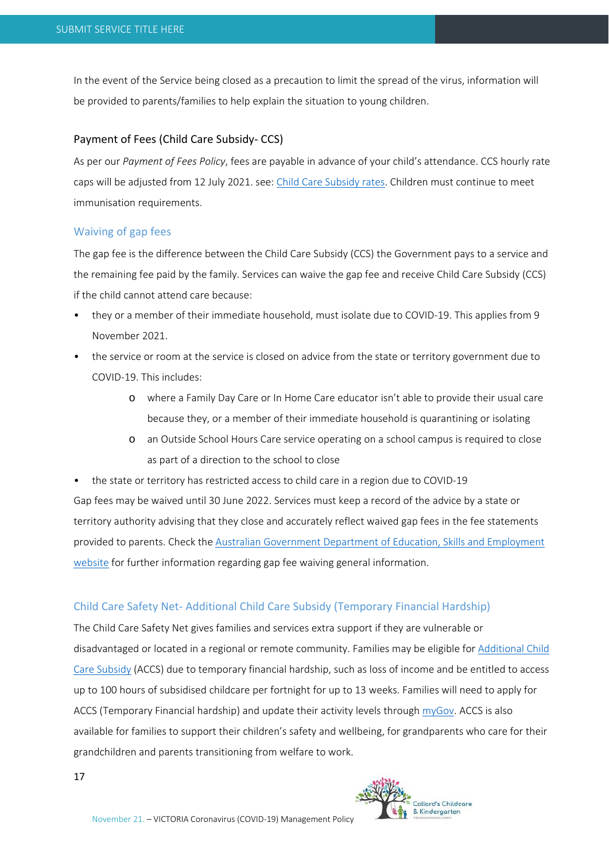In the event of the Service being closed as a precaution to limit the spread of the virus, information will be provided to parents/families to help explain the situation to young children.

# Payment of Fees (Child Care Subsidy‐ CCS)

As per our *Payment of Fees Policy*, fees are payable in advance of your child's attendance. CCS hourly rate caps will be adjusted from 12 July 2021. see: Child Care Subsidy rates. Children must continue to meet immunisation requirements.

#### Waiving of gap fees

The gap fee is the difference between the Child Care Subsidy (CCS) the Government pays to a service and the remaining fee paid by the family. Services can waive the gap fee and receive Child Care Subsidy (CCS) if the child cannot attend care because:

- they or a member of their immediate household, must isolate due to COVID‐19. This applies from 9 November 2021.
- the service or room at the service is closed on advice from the state or territory government due to COVID‐19. This includes:
	- o where a Family Day Care or In Home Care educator isn't able to provide their usual care because they, or a member of their immediate household is quarantining or isolating
	- o an Outside School Hours Care service operating on a school campus is required to close as part of a direction to the school to close

• the state or territory has restricted access to child care in a region due to COVID-19 Gap fees may be waived until 30 June 2022. Services must keep a record of the advice by a state or territory authority advising that they close and accurately reflect waived gap fees in the fee statements provided to parents. Check the Australian Government Department of Education, Skills and Employment website for further information regarding gap fee waiving general information.

# Child Care Safety Net‐ Additional Child Care Subsidy (Temporary Financial Hardship)

The Child Care Safety Net gives families and services extra support if they are vulnerable or disadvantaged or located in a regional or remote community. Families may be eligible for Additional Child Care Subsidy (ACCS) due to temporary financial hardship, such as loss of income and be entitled to access up to 100 hours of subsidised childcare per fortnight for up to 13 weeks. Families will need to apply for ACCS (Temporary Financial hardship) and update their activity levels through myGov. ACCS is also available for families to support their children's safety and wellbeing, for grandparents who care for their grandchildren and parents transitioning from welfare to work.

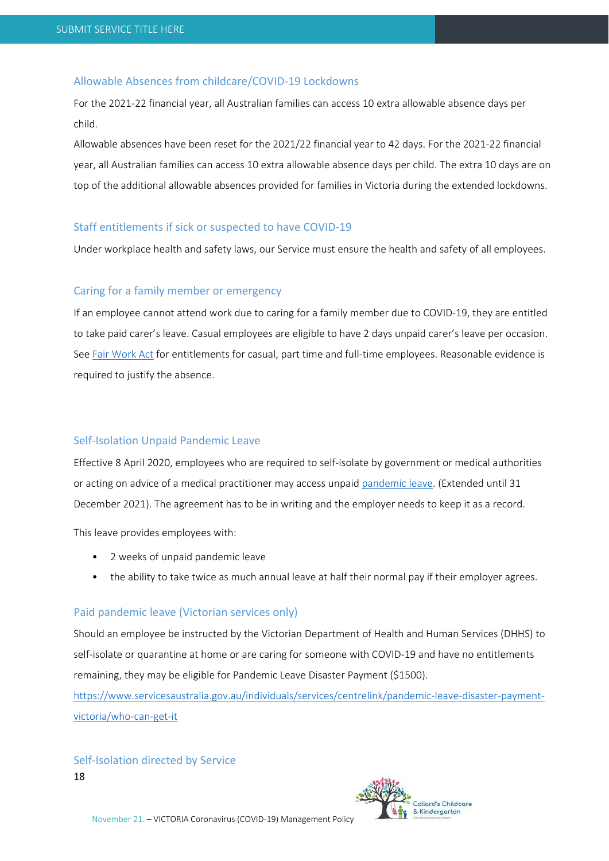# Allowable Absences from childcare/COVID‐19 Lockdowns

For the 2021‐22 financial year, all Australian families can access 10 extra allowable absence days per child.

Allowable absences have been reset for the 2021/22 financial year to 42 days. For the 2021‐22 financial year, all Australian families can access 10 extra allowable absence days per child. The extra 10 days are on top of the additional allowable absences provided for families in Victoria during the extended lockdowns.

#### Staff entitlements if sick or suspected to have COVID‐19

Under workplace health and safety laws, our Service must ensure the health and safety of all employees.

#### Caring for a family member or emergency

If an employee cannot attend work due to caring for a family member due to COVID‐19, they are entitled to take paid carer's leave. Casual employees are eligible to have 2 days unpaid carer's leave per occasion. See Fair Work Act for entitlements for casual, part time and full-time employees. Reasonable evidence is required to justify the absence.

# Self‐Isolation Unpaid Pandemic Leave

Effective 8 April 2020, employees who are required to self‐isolate by government or medical authorities or acting on advice of a medical practitioner may access unpaid pandemic leave. (Extended until 31 December 2021). The agreement has to be in writing and the employer needs to keep it as a record.

This leave provides employees with:

- 2 weeks of unpaid pandemic leave
- the ability to take twice as much annual leave at half their normal pay if their employer agrees.

### Paid pandemic leave (Victorian services only)

Should an employee be instructed by the Victorian Department of Health and Human Services (DHHS) to self-isolate or quarantine at home or are caring for someone with COVID-19 and have no entitlements remaining, they may be eligible for Pandemic Leave Disaster Payment (\$1500).

https://www.servicesaustralia.gov.au/individuals/services/centrelink/pandemic‐leave‐disaster‐payment‐ victoria/who‐can‐get‐it

# Self‐Isolation directed by Service

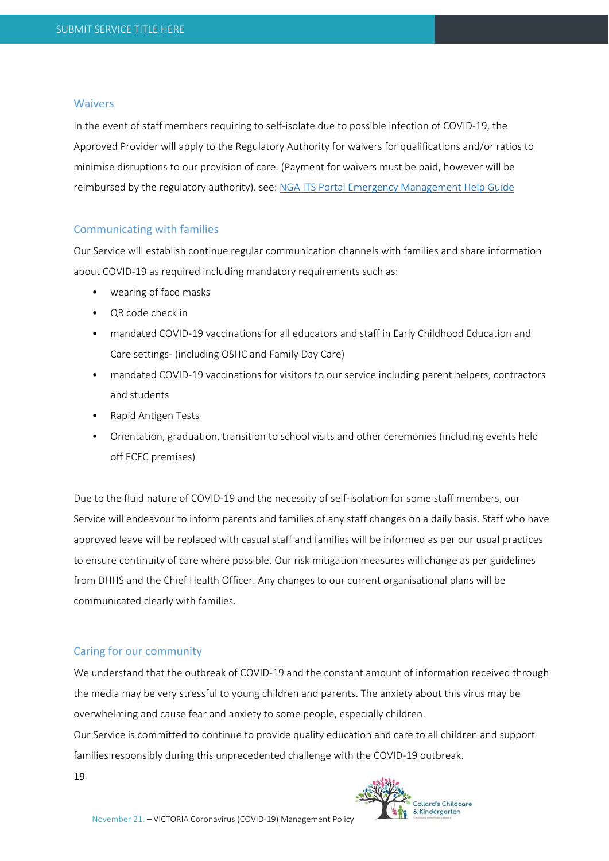#### Waivers

In the event of staff members requiring to self‐isolate due to possible infection of COVID‐19, the Approved Provider will apply to the Regulatory Authority for waivers for qualifications and/or ratios to minimise disruptions to our provision of care. (Payment for waivers must be paid, however will be reimbursed by the regulatory authority). see: NGA ITS Portal Emergency Management Help Guide

#### Communicating with families

Our Service will establish continue regular communication channels with families and share information about COVID‐19 as required including mandatory requirements such as:

- wearing of face masks
- QR code check in
- mandated COVID-19 vaccinations for all educators and staff in Early Childhood Education and Care settings‐ (including OSHC and Family Day Care)
- mandated COVID-19 vaccinations for visitors to our service including parent helpers, contractors and students
- Rapid Antigen Tests
- Orientation, graduation, transition to school visits and other ceremonies (including events held off ECEC premises)

Due to the fluid nature of COVID-19 and the necessity of self-isolation for some staff members, our Service will endeavour to inform parents and families of any staff changes on a daily basis. Staff who have approved leave will be replaced with casual staff and families will be informed as per our usual practices to ensure continuity of care where possible. Our risk mitigation measures will change as per guidelines from DHHS and the Chief Health Officer. Any changes to our current organisational plans will be communicated clearly with families.

#### Caring for our community

We understand that the outbreak of COVID‐19 and the constant amount of information received through the media may be very stressful to young children and parents. The anxiety about this virus may be overwhelming and cause fear and anxiety to some people, especially children.

Our Service is committed to continue to provide quality education and care to all children and support families responsibly during this unprecedented challenge with the COVID-19 outbreak.

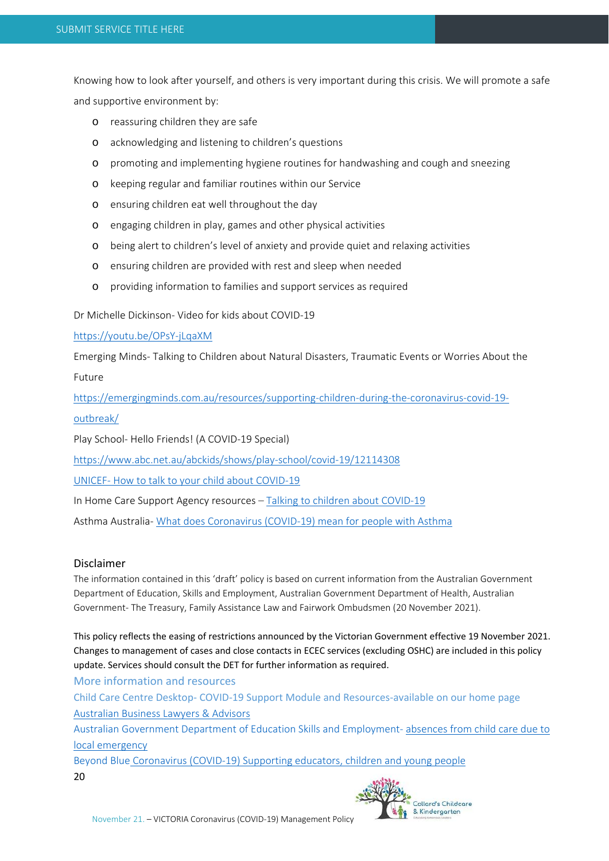Knowing how to look after yourself, and others is very important during this crisis. We will promote a safe and supportive environment by:

- o reassuring children they are safe
- o acknowledging and listening to children's questions
- o promoting and implementing hygiene routines for handwashing and cough and sneezing
- o keeping regular and familiar routines within our Service
- o ensuring children eat well throughout the day
- o engaging children in play, games and other physical activities
- o being alert to children's level of anxiety and provide quiet and relaxing activities
- o ensuring children are provided with rest and sleep when needed
- o providing information to families and support services as required

Dr Michelle Dickinson‐ Video for kids about COVID‐19

https://youtu.be/OPsY‐jLqaXM

Emerging Minds‐ Talking to Children about Natural Disasters, Traumatic Events or Worries About the Future

https://emergingminds.com.au/resources/supporting‐children‐during‐the‐coronavirus‐covid‐19‐ outbreak/

Play School‐ Hello Friends! (A COVID‐19 Special)

https://www.abc.net.au/abckids/shows/play‐school/covid‐19/12114308

UNICEF‐ How to talk to your child about COVID‐19

In Home Care Support Agency resources – Talking to children about COVID‐19

Asthma Australia‐ What does Coronavirus (COVID‐19) mean for people with Asthma

# Disclaimer

The information contained in this 'draft' policy is based on current information from the Australian Government Department of Education, Skills and Employment, Australian Government Department of Health, Australian Government‐ The Treasury, Family Assistance Law and Fairwork Ombudsmen (20 November 2021).

This policy reflects the easing of restrictions announced by the Victorian Government effective 19 November 2021. Changes to management of cases and close contacts in ECEC services (excluding OSHC) are included in this policy update. Services should consult the DET for further information as required.

More information and resources

Child Care Centre Desktop‐ COVID‐19 Support Module and Resources‐available on our home page Australian Business Lawyers & Advisors

Australian Government Department of Education Skills and Employment‐ absences from child care due to local emergency

20 Beyond Blue Coronavirus (COVID‐19) Supporting educators, children and young people

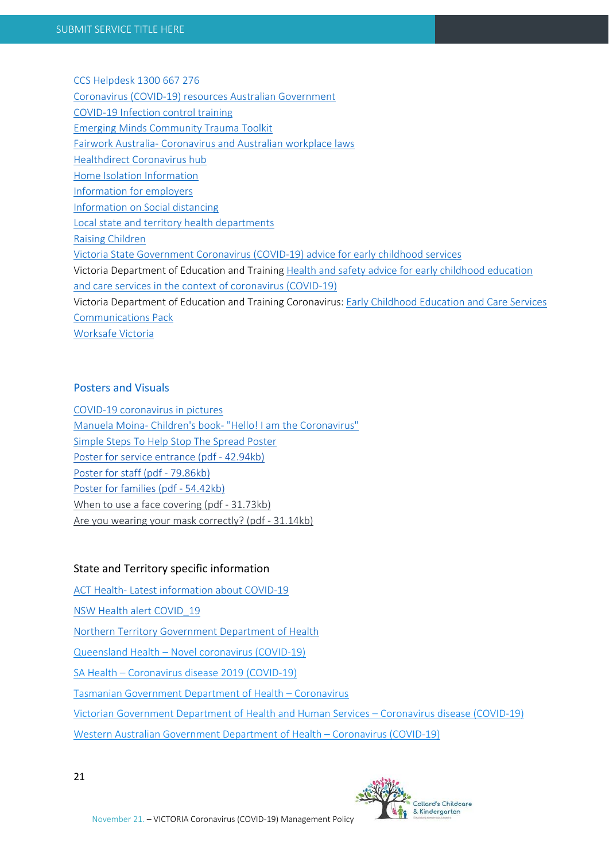CCS Helpdesk 1300 667 276

Coronavirus (COVID‐19) resources Australian Government

COVID‐19 Infection control training

Emerging Minds Community Trauma Toolkit

Fairwork Australia‐ Coronavirus and Australian workplace laws

Healthdirect Coronavirus hub

Home Isolation Information

Information for employers

Information on Social distancing

Local state and territory health departments

Raising Children

Victoria State Government Coronavirus (COVID‐19) advice for early childhood services

Victoria Department of Education and Training Health and safety advice for early childhood education and care services in the context of coronavirus (COVID‐19)

Victoria Department of Education and Training Coronavirus: Early Childhood Education and Care Services Communications Pack

Worksafe Victoria

# Posters and Visuals

COVID‐19 coronavirus in pictures Manuela Moina‐ Children's book‐ "Hello! I am the Coronavirus" Simple Steps To Help Stop The Spread Poster Poster for service entrance (pdf ‐ 42.94kb) Poster for staff (pdf ‐ 79.86kb) Poster for families (pdf ‐ 54.42kb) When to use a face covering (pdf - 31.73kb) Are you wearing your mask correctly? (pdf ‐ 31.14kb)

# State and Territory specific information

ACT Health‐ Latest information about COVID‐19

NSW Health alert COVID\_19

Northern Territory Government Department of Health

Queensland Health – Novel coronavirus (COVID‐19)

SA Health – Coronavirus disease 2019 (COVID‐19)

Tasmanian Government Department of Health – Coronavirus

Victorian Government Department of Health and Human Services – Coronavirus disease (COVID‐19)

Western Australian Government Department of Health – Coronavirus (COVID‐19)

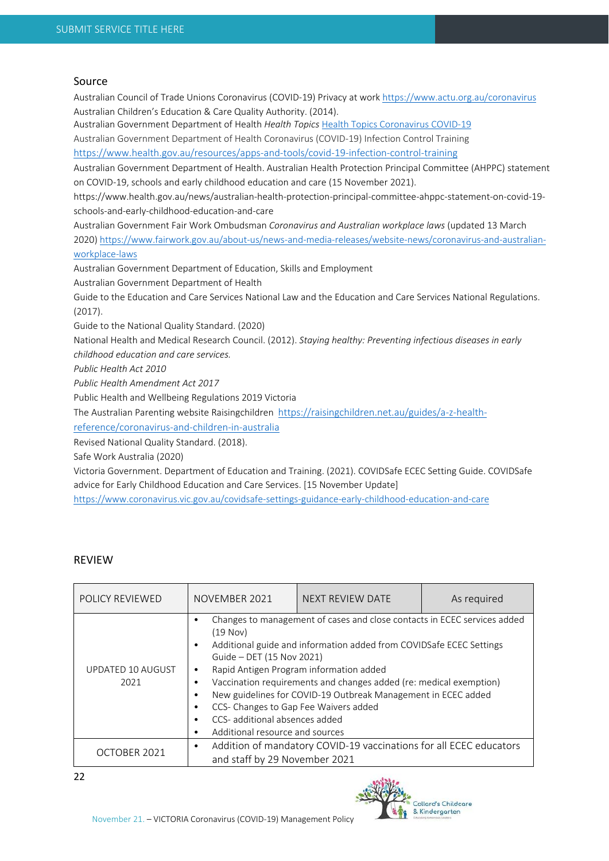#### Source

Australian Council of Trade Unions Coronavirus (COVID‐19) Privacy at work https://www.actu.org.au/coronavirus Australian Children's Education & Care Quality Authority. (2014). Australian Government Department of Health *Health Topics* Health Topics Coronavirus COVID‐19 Australian Government Department of Health Coronavirus (COVID‐19) Infection Control Training

https://www.health.gov.au/resources/apps‐and‐tools/covid‐19‐infection‐control‐training

Australian Government Department of Health. Australian Health Protection Principal Committee (AHPPC) statement on COVID‐19, schools and early childhood education and care (15 November 2021).

https://www.health.gov.au/news/australian‐health‐protection‐principal‐committee‐ahppc‐statement‐on‐covid‐19‐ schools‐and‐early‐childhood‐education‐and‐care

Australian Government Fair Work Ombudsman *Coronavirus and Australian workplace laws* (updated 13 March 2020) https://www.fairwork.gov.au/about-us/news-and-media-releases/website-news/coronavirus-and-australianworkplace‐laws

Australian Government Department of Education, Skills and Employment

Australian Government Department of Health

Guide to the Education and Care Services National Law and the Education and Care Services National Regulations. (2017).

Guide to the National Quality Standard. (2020)

National Health and Medical Research Council. (2012). *Staying healthy: Preventing infectious diseases in early childhood education and care services.* 

*Public Health Act 2010*

*Public Health Amendment Act 2017* 

Public Health and Wellbeing Regulations 2019 Victoria

The Australian Parenting website Raisingchildren https://raisingchildren.net.au/guides/a‐z‐health‐

reference/coronavirus‐and‐children‐in‐australia

Revised National Quality Standard. (2018).

Safe Work Australia (2020)

Victoria Government. Department of Education and Training. (2021). COVIDSafe ECEC Setting Guide. COVIDSafe advice for Early Childhood Education and Care Services. [15 November Update]

https://www.coronavirus.vic.gov.au/covidsafe‐settings‐guidance‐early‐childhood‐education‐and‐care

#### REVIEW

| <b>POLICY REVIEWED</b>                                                                                                                                           | NOVEMBER 2021                 | NEXT REVIEW DATE                                                                                                                                                                                                                                                                                                                                                           | As required |
|------------------------------------------------------------------------------------------------------------------------------------------------------------------|-------------------------------|----------------------------------------------------------------------------------------------------------------------------------------------------------------------------------------------------------------------------------------------------------------------------------------------------------------------------------------------------------------------------|-------------|
| (19 Nov)<br>Guide - DET (15 Nov 2021)<br><b>UPDATED 10 AUGUST</b><br>٠<br>2021<br>$\bullet$<br>CCS- additional absences added<br>Additional resource and sources |                               | Changes to management of cases and close contacts in ECEC services added<br>Additional guide and information added from COVIDSafe ECEC Settings<br>Rapid Antigen Program information added<br>Vaccination requirements and changes added (re: medical exemption)<br>New guidelines for COVID-19 Outbreak Management in ECEC added<br>CCS- Changes to Gap Fee Waivers added |             |
| OCTOBER 2021                                                                                                                                                     | and staff by 29 November 2021 | Addition of mandatory COVID-19 vaccinations for all ECEC educators                                                                                                                                                                                                                                                                                                         |             |

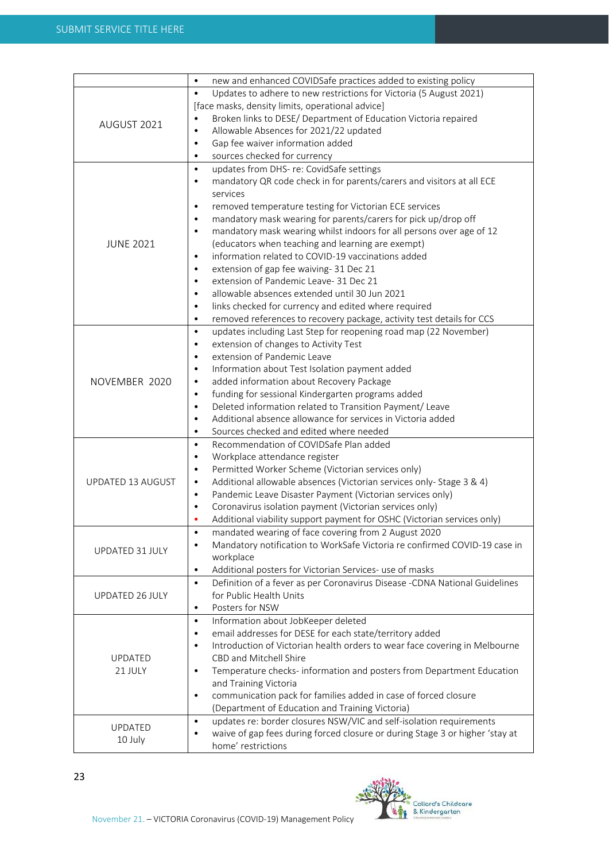|                   | new and enhanced COVIDSafe practices added to existing policy<br>$\bullet$                                                                     |
|-------------------|------------------------------------------------------------------------------------------------------------------------------------------------|
|                   | $\bullet$<br>Updates to adhere to new restrictions for Victoria (5 August 2021)                                                                |
|                   | [face masks, density limits, operational advice]                                                                                               |
| AUGUST 2021       | Broken links to DESE/ Department of Education Victoria repaired<br>$\bullet$                                                                   |
|                   | Allowable Absences for 2021/22 updated<br>$\bullet$                                                                                            |
|                   | Gap fee waiver information added<br>$\bullet$                                                                                                  |
|                   | sources checked for currency<br>$\bullet$                                                                                                      |
|                   | updates from DHS- re: CovidSafe settings<br>$\bullet$                                                                                          |
|                   | mandatory QR code check in for parents/carers and visitors at all ECE<br>$\bullet$                                                             |
|                   | services                                                                                                                                       |
|                   |                                                                                                                                                |
|                   | removed temperature testing for Victorian ECE services<br>$\bullet$                                                                            |
|                   | mandatory mask wearing for parents/carers for pick up/drop off<br>$\bullet$                                                                    |
|                   | mandatory mask wearing whilst indoors for all persons over age of 12<br>$\bullet$                                                              |
| <b>JUNE 2021</b>  | (educators when teaching and learning are exempt)                                                                                              |
|                   | information related to COVID-19 vaccinations added<br>$\bullet$                                                                                |
|                   | extension of gap fee waiving-31 Dec 21<br>$\bullet$                                                                                            |
|                   | extension of Pandemic Leave- 31 Dec 21<br>$\bullet$                                                                                            |
|                   | allowable absences extended until 30 Jun 2021<br>$\bullet$                                                                                     |
|                   | links checked for currency and edited where required<br>$\bullet$                                                                              |
|                   | removed references to recovery package, activity test details for CCS<br>$\bullet$                                                             |
|                   | updates including Last Step for reopening road map (22 November)<br>$\bullet$                                                                  |
|                   | extension of changes to Activity Test<br>$\bullet$                                                                                             |
|                   | extension of Pandemic Leave<br>$\bullet$                                                                                                       |
|                   | $\bullet$                                                                                                                                      |
|                   | Information about Test Isolation payment added                                                                                                 |
| NOVEMBER 2020     | added information about Recovery Package<br>$\bullet$                                                                                          |
|                   | funding for sessional Kindergarten programs added<br>$\bullet$                                                                                 |
|                   | Deleted information related to Transition Payment/ Leave<br>$\bullet$                                                                          |
|                   | Additional absence allowance for services in Victoria added<br>$\bullet$                                                                       |
|                   | Sources checked and edited where needed<br>$\bullet$                                                                                           |
|                   | Recommendation of COVIDSafe Plan added<br>$\bullet$                                                                                            |
|                   | Workplace attendance register<br>$\bullet$                                                                                                     |
|                   | Permitted Worker Scheme (Victorian services only)<br>$\bullet$                                                                                 |
| UPDATED 13 AUGUST | Additional allowable absences (Victorian services only- Stage 3 & 4)<br>$\bullet$                                                              |
|                   | Pandemic Leave Disaster Payment (Victorian services only)<br>$\bullet$                                                                         |
|                   | Coronavirus isolation payment (Victorian services only)<br>$\bullet$                                                                           |
|                   | Additional viability support payment for OSHC (Victorian services only)                                                                        |
|                   | $\bullet$                                                                                                                                      |
|                   | mandated wearing of face covering from 2 August 2020<br>Mandatory notification to WorkSafe Victoria re confirmed COVID-19 case in<br>$\bullet$ |
| UPDATED 31 JULY   |                                                                                                                                                |
|                   | workplace                                                                                                                                      |
|                   | Additional posters for Victorian Services- use of masks<br>$\bullet$                                                                           |
|                   | Definition of a fever as per Coronavirus Disease -CDNA National Guidelines<br>$\bullet$                                                        |
| UPDATED 26 JULY   | for Public Health Units                                                                                                                        |
|                   | Posters for NSW<br>$\bullet$                                                                                                                   |
|                   | Information about JobKeeper deleted<br>$\bullet$                                                                                               |
|                   | email addresses for DESE for each state/territory added<br>$\bullet$                                                                           |
|                   | Introduction of Victorian health orders to wear face covering in Melbourne<br>$\bullet$                                                        |
| <b>UPDATED</b>    | CBD and Mitchell Shire                                                                                                                         |
| 21 JULY           | Temperature checks- information and posters from Department Education<br>$\bullet$                                                             |
|                   | and Training Victoria                                                                                                                          |
|                   | communication pack for families added in case of forced closure<br>$\bullet$                                                                   |
|                   | (Department of Education and Training Victoria)                                                                                                |
|                   | updates re: border closures NSW/VIC and self-isolation requirements<br>$\bullet$                                                               |
| <b>UPDATED</b>    |                                                                                                                                                |
| 10 July           | waive of gap fees during forced closure or during Stage 3 or higher 'stay at                                                                   |
|                   | home' restrictions                                                                                                                             |

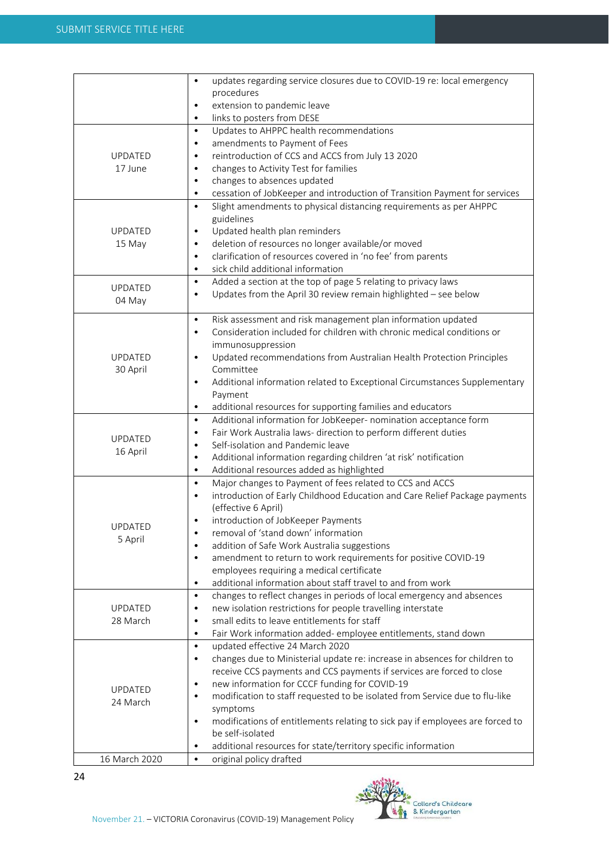|                | updates regarding service closures due to COVID-19 re: local emergency<br>$\bullet$                     |
|----------------|---------------------------------------------------------------------------------------------------------|
|                | procedures                                                                                              |
|                | extension to pandemic leave<br>$\bullet$                                                                |
|                | links to posters from DESE<br>$\bullet$                                                                 |
|                | Updates to AHPPC health recommendations<br>$\bullet$                                                    |
|                | amendments to Payment of Fees<br>$\bullet$                                                              |
| <b>UPDATED</b> | reintroduction of CCS and ACCS from July 13 2020<br>$\bullet$                                           |
| 17 June        | changes to Activity Test for families<br>$\bullet$                                                      |
|                | changes to absences updated<br>$\bullet$                                                                |
|                | cessation of JobKeeper and introduction of Transition Payment for services<br>$\bullet$                 |
|                | Slight amendments to physical distancing requirements as per AHPPC<br>$\bullet$                         |
|                | guidelines                                                                                              |
| <b>UPDATED</b> | Updated health plan reminders<br>$\bullet$                                                              |
| 15 May         | deletion of resources no longer available/or moved<br>$\bullet$                                         |
|                | clarification of resources covered in 'no fee' from parents<br>$\bullet$                                |
|                | sick child additional information<br>$\bullet$                                                          |
| <b>UPDATED</b> | Added a section at the top of page 5 relating to privacy laws<br>$\bullet$                              |
| 04 May         | Updates from the April 30 review remain highlighted - see below<br>$\bullet$                            |
|                |                                                                                                         |
|                | Risk assessment and risk management plan information updated<br>$\bullet$                               |
|                | Consideration included for children with chronic medical conditions or<br>$\bullet$                     |
|                | immunosuppression                                                                                       |
| <b>UPDATED</b> | Updated recommendations from Australian Health Protection Principles<br>$\bullet$                       |
| 30 April       | Committee                                                                                               |
|                | Additional information related to Exceptional Circumstances Supplementary<br>$\bullet$                  |
|                | Payment                                                                                                 |
|                | additional resources for supporting families and educators<br>$\bullet$                                 |
|                | Additional information for JobKeeper- nomination acceptance form<br>$\bullet$                           |
| <b>UPDATED</b> | Fair Work Australia laws- direction to perform different duties<br>$\bullet$                            |
| 16 April       | Self-isolation and Pandemic leave<br>$\bullet$                                                          |
|                | Additional information regarding children 'at risk' notification<br>$\bullet$                           |
|                | Additional resources added as highlighted<br>$\bullet$                                                  |
|                | Major changes to Payment of fees related to CCS and ACCS<br>$\bullet$                                   |
|                | introduction of Early Childhood Education and Care Relief Package payments<br>$\bullet$                 |
|                | (effective 6 April)                                                                                     |
| <b>UPDATED</b> | introduction of JobKeeper Payments<br>$\bullet$                                                         |
| 5 April        | $\bullet$<br>removal of 'stand down' information                                                        |
|                | addition of Safe Work Australia suggestions<br>$\bullet$                                                |
|                | amendment to return to work requirements for positive COVID-19<br>$\bullet$                             |
|                | employees requiring a medical certificate<br>additional information about staff travel to and from work |
|                | $\bullet$<br>changes to reflect changes in periods of local emergency and absences<br>$\bullet$         |
| UPDATED        | new isolation restrictions for people travelling interstate<br>$\bullet$                                |
| 28 March       | small edits to leave entitlements for staff<br>$\bullet$                                                |
|                | Fair Work information added-employee entitlements, stand down<br>$\bullet$                              |
|                | updated effective 24 March 2020<br>$\bullet$                                                            |
|                | changes due to Ministerial update re: increase in absences for children to<br>$\bullet$                 |
|                | receive CCS payments and CCS payments if services are forced to close                                   |
|                | new information for CCCF funding for COVID-19<br>$\bullet$                                              |
| <b>UPDATED</b> | modification to staff requested to be isolated from Service due to flu-like<br>$\bullet$                |
| 24 March       | symptoms                                                                                                |
|                | modifications of entitlements relating to sick pay if employees are forced to                           |
|                | be self-isolated                                                                                        |
|                | additional resources for state/territory specific information<br>$\bullet$                              |
| 16 March 2020  | original policy drafted<br>$\bullet$                                                                    |
|                |                                                                                                         |